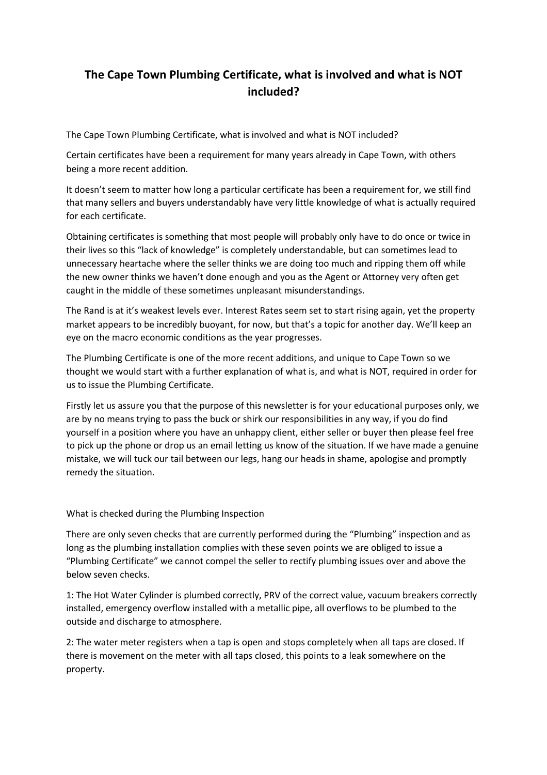## **The Cape Town Plumbing Certificate, what is involved and what is NOT included?**

The Cape Town Plumbing Certificate, what is involved and what is NOT included?

Certain certificates have been a requirement for many years already in Cape Town, with others being a more recent addition.

It doesn't seem to matter how long a particular certificate has been a requirement for, we still find that many sellers and buyers understandably have very little knowledge of what is actually required for each certificate.

Obtaining certificates is something that most people will probably only have to do once or twice in their lives so this "lack of knowledge" is completely understandable, but can sometimes lead to unnecessary heartache where the seller thinks we are doing too much and ripping them off while the new owner thinks we haven't done enough and you as the Agent or Attorney very often get caught in the middle of these sometimes unpleasant misunderstandings.

The Rand is at it's weakest levels ever. Interest Rates seem set to start rising again, yet the property market appears to be incredibly buoyant, for now, but that's a topic for another day. We'll keep an eye on the macro economic conditions as the year progresses.

The Plumbing Certificate is one of the more recent additions, and unique to Cape Town so we thought we would start with a further explanation of what is, and what is NOT, required in order for us to issue the Plumbing Certificate.

Firstly let us assure you that the purpose of this newsletter is for your educational purposes only, we are by no means trying to pass the buck or shirk our responsibilities in any way, if you do find yourself in a position where you have an unhappy client, either seller or buyer then please feel free to pick up the phone or drop us an email letting us know of the situation. If we have made a genuine mistake, we will tuck our tail between our legs, hang our heads in shame, apologise and promptly remedy the situation.

What is checked during the Plumbing Inspection

There are only seven checks that are currently performed during the "Plumbing" inspection and as long as the plumbing installation complies with these seven points we are obliged to issue a "Plumbing Certificate" we cannot compel the seller to rectify plumbing issues over and above the below seven checks.

1: The Hot Water Cylinder is plumbed correctly, PRV of the correct value, vacuum breakers correctly installed, emergency overflow installed with a metallic pipe, all overflows to be plumbed to the outside and discharge to atmosphere.

2: The water meter registers when a tap is open and stops completely when all taps are closed. If there is movement on the meter with all taps closed, this points to a leak somewhere on the property.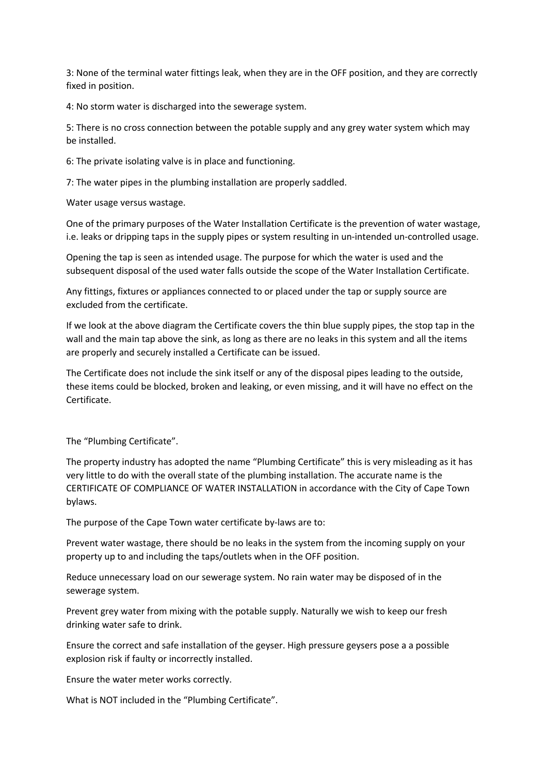3: None of the terminal water fittings leak, when they are in the OFF position, and they are correctly fixed in position.

4: No storm water is discharged into the sewerage system.

5: There is no cross connection between the potable supply and any grey water system which may be installed.

6: The private isolating valve is in place and functioning.

7: The water pipes in the plumbing installation are properly saddled.

Water usage versus wastage.

One of the primary purposes of the Water Installation Certificate is the prevention of water wastage, i.e. leaks or dripping taps in the supply pipes or system resulting in un-intended un-controlled usage.

Opening the tap is seen as intended usage. The purpose for which the water is used and the subsequent disposal of the used water falls outside the scope of the Water Installation Certificate.

Any fittings, fixtures or appliances connected to or placed under the tap or supply source are excluded from the certificate.

If we look at the above diagram the Certificate covers the thin blue supply pipes, the stop tap in the wall and the main tap above the sink, as long as there are no leaks in this system and all the items are properly and securely installed a Certificate can be issued.

The Certificate does not include the sink itself or any of the disposal pipes leading to the outside, these items could be blocked, broken and leaking, or even missing, and it will have no effect on the Certificate.

The "Plumbing Certificate".

The property industry has adopted the name "Plumbing Certificate" this is very misleading as it has very little to do with the overall state of the plumbing installation. The accurate name is the CERTIFICATE OF COMPLIANCE OF WATER INSTALLATION in accordance with the City of Cape Town bylaws.

The purpose of the Cape Town water certificate by-laws are to:

Prevent water wastage, there should be no leaks in the system from the incoming supply on your property up to and including the taps/outlets when in the OFF position.

Reduce unnecessary load on our sewerage system. No rain water may be disposed of in the sewerage system.

Prevent grey water from mixing with the potable supply. Naturally we wish to keep our fresh drinking water safe to drink.

Ensure the correct and safe installation of the geyser. High pressure geysers pose a a possible explosion risk if faulty or incorrectly installed.

Ensure the water meter works correctly.

What is NOT included in the "Plumbing Certificate".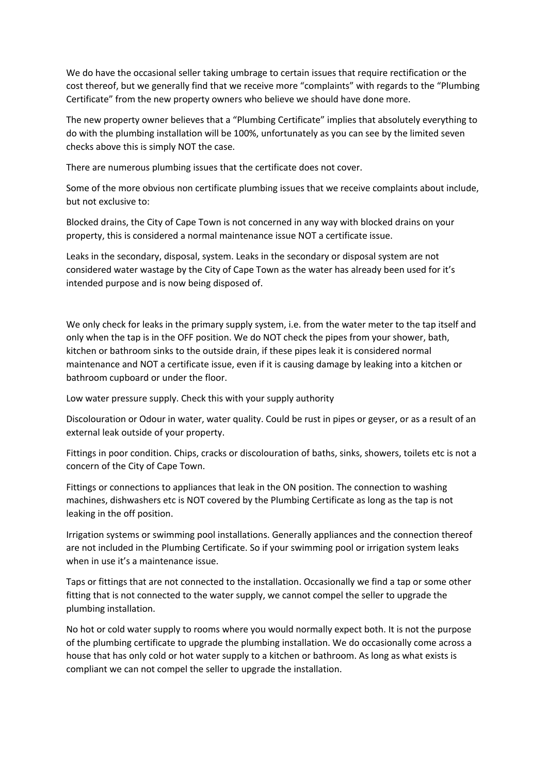We do have the occasional seller taking umbrage to certain issues that require rectification or the cost thereof, but we generally find that we receive more "complaints" with regards to the "Plumbing Certificate" from the new property owners who believe we should have done more.

The new property owner believes that a "Plumbing Certificate" implies that absolutely everything to do with the plumbing installation will be 100%, unfortunately as you can see by the limited seven checks above this is simply NOT the case.

There are numerous plumbing issues that the certificate does not cover.

Some of the more obvious non certificate plumbing issues that we receive complaints about include, but not exclusive to:

Blocked drains, the City of Cape Town is not concerned in any way with blocked drains on your property, this is considered a normal maintenance issue NOT a certificate issue.

Leaks in the secondary, disposal, system. Leaks in the secondary or disposal system are not considered water wastage by the City of Cape Town as the water has already been used for it's intended purpose and is now being disposed of.

We only check for leaks in the primary supply system, i.e. from the water meter to the tap itself and only when the tap is in the OFF position. We do NOT check the pipes from your shower, bath, kitchen or bathroom sinks to the outside drain, if these pipes leak it is considered normal maintenance and NOT a certificate issue, even if it is causing damage by leaking into a kitchen or bathroom cupboard or under the floor.

Low water pressure supply. Check this with your supply authority

Discolouration or Odour in water, water quality. Could be rust in pipes or geyser, or as a result of an external leak outside of your property.

Fittings in poor condition. Chips, cracks or discolouration of baths, sinks, showers, toilets etc is not a concern of the City of Cape Town.

Fittings or connections to appliances that leak in the ON position. The connection to washing machines, dishwashers etc is NOT covered by the Plumbing Certificate as long as the tap is not leaking in the off position.

Irrigation systems or swimming pool installations. Generally appliances and the connection thereof are not included in the Plumbing Certificate. So if your swimming pool or irrigation system leaks when in use it's a maintenance issue.

Taps or fittings that are not connected to the installation. Occasionally we find a tap or some other fitting that is not connected to the water supply, we cannot compel the seller to upgrade the plumbing installation.

No hot or cold water supply to rooms where you would normally expect both. It is not the purpose of the plumbing certificate to upgrade the plumbing installation. We do occasionally come across a house that has only cold or hot water supply to a kitchen or bathroom. As long as what exists is compliant we can not compel the seller to upgrade the installation.